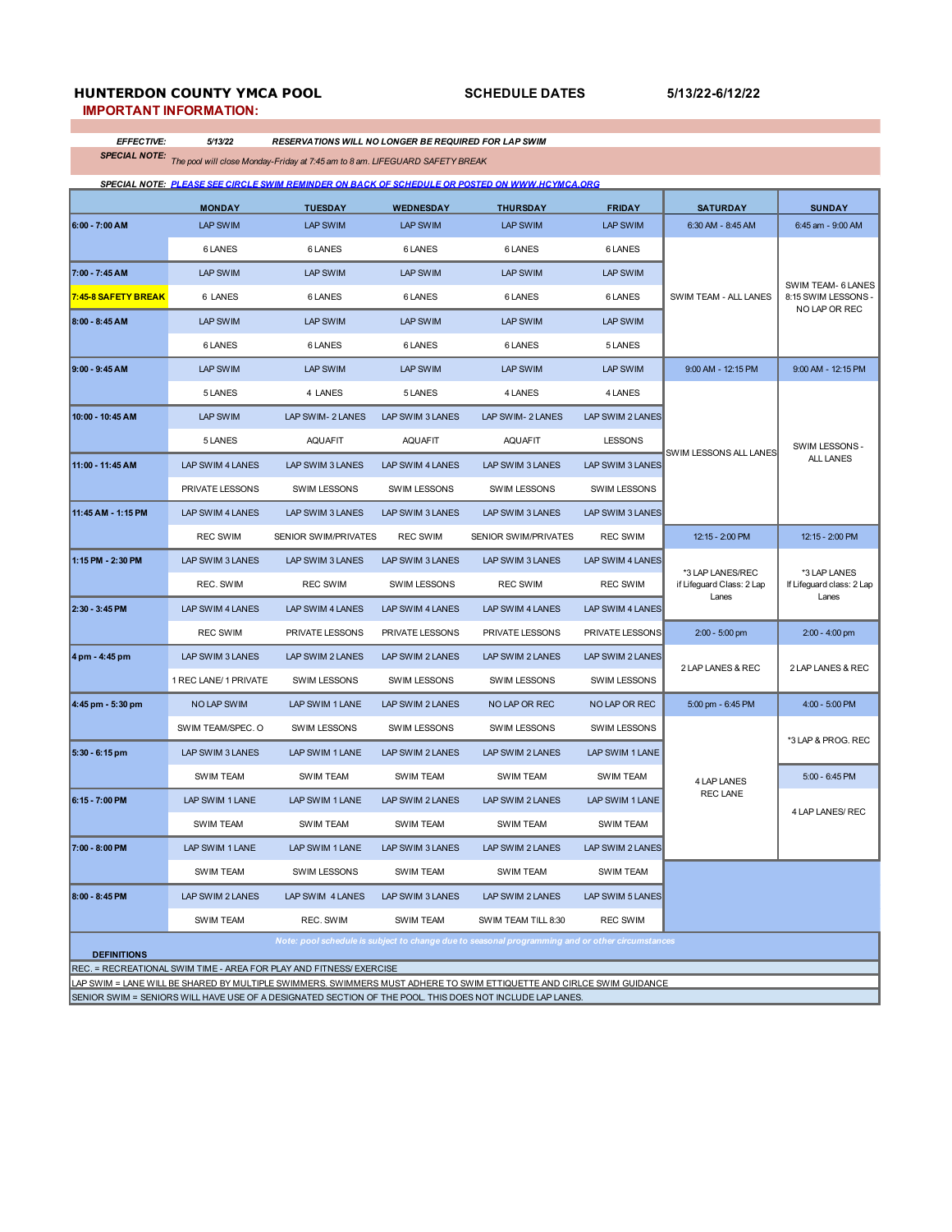# **HUNTERDON COUNTY YMCA POOL**

**SCHEDULE DATES 5/13/22-6/12/22**

**IMPORTANT INFORMATION:**

*EFFECTIVE: 5/13/22 RESERVATIONS WILL NO LONGER BE REQUIRED FOR LAP SWIM*

*SPECIAL NOTE: The pool will close Monday-Friday at 7:45 am to 8 am. LIFEGUARD SAFETY BREAK* 

|                                                                                                                       |                       |                         |                     | SPECIAL NOTE: PLEASE SEE CIRCLE SWIM REMINDER ON BACK OF SCHEDULE OR POSTED ON WWW.HCYMCA.ORG |                     |                                                        |                                                            |
|-----------------------------------------------------------------------------------------------------------------------|-----------------------|-------------------------|---------------------|-----------------------------------------------------------------------------------------------|---------------------|--------------------------------------------------------|------------------------------------------------------------|
|                                                                                                                       | <b>MONDAY</b>         | <b>TUESDAY</b>          | <b>WEDNESDAY</b>    | <b>THURSDAY</b>                                                                               | <b>FRIDAY</b>       | <b>SATURDAY</b>                                        | <b>SUNDAY</b>                                              |
| $6:00 - 7:00$ AM                                                                                                      | LAP SWIM              | <b>LAP SWIM</b>         | <b>LAP SWIM</b>     | <b>LAP SWIM</b>                                                                               | <b>LAP SWIM</b>     | 6:30 AM - 8:45 AM                                      | 6:45 am - 9:00 AM                                          |
|                                                                                                                       | 6 LANES               | 6 LANES                 | 6 LANES             | 6 LANES                                                                                       | 6 LANES             | SWIM TEAM - ALL LANES                                  | SWIM TEAM- 6 LANES<br>8:15 SWIM LESSONS -<br>NO LAP OR REC |
| 7:00 - 7:45 AM                                                                                                        | LAP SWIM              | <b>LAP SWIM</b>         | <b>LAP SWIM</b>     | LAP SWIM                                                                                      | <b>LAP SWIM</b>     |                                                        |                                                            |
| 7:45-8 SAFETY BREAK                                                                                                   | 6 LANES               | 6 LANES                 | 6 LANES             | 6 LANES                                                                                       | 6 LANES             |                                                        |                                                            |
| 8:00 - 8:45 AM                                                                                                        | <b>LAP SWIM</b>       | <b>LAP SWIM</b>         | <b>LAP SWIM</b>     | <b>LAP SWIM</b>                                                                               | <b>LAP SWIM</b>     |                                                        |                                                            |
|                                                                                                                       | 6 LANES               | 6 LANES                 | 6 LANES             | 6 LANES                                                                                       | 5 LANES             |                                                        |                                                            |
| $9:00 - 9:45 AM$                                                                                                      | <b>LAP SWIM</b>       | <b>LAP SWIM</b>         | <b>LAP SWIM</b>     | <b>LAP SWIM</b>                                                                               | <b>LAP SWIM</b>     | 9:00 AM - 12:15 PM                                     | 9:00 AM - 12:15 PM                                         |
|                                                                                                                       | 5 LANES               | 4 LANES                 | 5 LANES             | 4 LANES                                                                                       | 4 LANES             |                                                        |                                                            |
| 10:00 - 10:45 AM                                                                                                      | <b>LAP SWIM</b>       | LAP SWIM-2 LANES        | LAP SWIM 3 LANES    | LAP SWIM- 2 LANES                                                                             | LAP SWIM 2 LANES    | SWIM LESSONS ALL LANES                                 | SWIM LESSONS -<br><b>ALL LANES</b>                         |
|                                                                                                                       | 5 LANES               | <b>AQUAFIT</b>          | <b>AQUAFIT</b>      | <b>AQUAFIT</b>                                                                                | <b>LESSONS</b>      |                                                        |                                                            |
| 11:00 - 11:45 AM                                                                                                      | LAP SWIM 4 LANES      | LAP SWIM 3 LANES        | LAP SWIM 4 LANES    | LAP SWIM 3 LANES                                                                              | LAP SWIM 3 LANES    |                                                        |                                                            |
|                                                                                                                       | PRIVATE LESSONS       | <b>SWIM LESSONS</b>     | <b>SWIM LESSONS</b> | <b>SWIM LESSONS</b>                                                                           | <b>SWIM LESSONS</b> |                                                        |                                                            |
| 11:45 AM - 1:15 PM                                                                                                    | LAP SWIM 4 LANES      | LAP SWIM 3 LANES        | LAP SWIM 3 LANES    | LAP SWIM 3 LANES                                                                              | LAP SWIM 3 LANES    |                                                        |                                                            |
|                                                                                                                       | <b>REC SWIM</b>       | SENIOR SWIM/PRIVATES    | <b>REC SWIM</b>     | SENIOR SWIM/PRIVATES                                                                          | <b>REC SWIM</b>     | 12:15 - 2:00 PM                                        | 12:15 - 2:00 PM                                            |
| 1:15 PM - 2:30 PM                                                                                                     | LAP SWIM 3 LANES      | LAP SWIM 3 LANES        | LAP SWIM 3 LANES    | LAP SWIM 3 LANES                                                                              | LAP SWIM 4 LANES    | *3 LAP LANES/REC<br>if Lifeguard Class: 2 Lap<br>Lanes | *3 LAP LANES<br>If Lifeguard class: 2 Lap<br>Lanes         |
|                                                                                                                       | REC. SWIM             | <b>REC SWIM</b>         | <b>SWIM LESSONS</b> | <b>REC SWIM</b>                                                                               | <b>REC SWIM</b>     |                                                        |                                                            |
| 2:30 - 3:45 PM                                                                                                        | LAP SWIM 4 LANES      | <b>LAP SWIM 4 LANES</b> | LAP SWIM 4 LANES    | LAP SWIM 4 LANES                                                                              | LAP SWIM 4 LANES    |                                                        |                                                            |
|                                                                                                                       | <b>REC SWIM</b>       | PRIVATE LESSONS         | PRIVATE LESSONS     | PRIVATE LESSONS                                                                               | PRIVATE LESSONS     | $2:00 - 5:00$ pm                                       | $2:00 - 4:00$ pm                                           |
| 4 pm - 4:45 pm                                                                                                        | LAP SWIM 3 LANES      | LAP SWIM 2 LANES        | LAP SWIM 2 LANES    | LAP SWIM 2 LANES                                                                              | LAP SWIM 2 LANES    | 2 LAP LANES & REC                                      | 2 LAP LANES & REC                                          |
|                                                                                                                       | 1 REC LANE/ 1 PRIVATE | <b>SWIM LESSONS</b>     | <b>SWIM LESSONS</b> | <b>SWIM LESSONS</b>                                                                           | <b>SWIM LESSONS</b> |                                                        |                                                            |
| 4:45 pm - 5:30 pm                                                                                                     | <b>NO LAP SWIM</b>    | LAP SWIM 1 LANE         | LAP SWIM 2 LANES    | NO LAP OR REC                                                                                 | NO LAP OR REC       | 5:00 pm - 6:45 PM                                      | 4:00 - 5:00 PM                                             |
|                                                                                                                       | SWIM TEAM/SPEC. O     | SWIM LESSONS            | <b>SWIM LESSONS</b> | <b>SWIM LESSONS</b>                                                                           | <b>SWIM LESSONS</b> |                                                        |                                                            |
| 5:30 - 6:15 pm                                                                                                        | LAP SWIM 3 LANES      | LAP SWIM 1 LANE         | LAP SWIM 2 LANES    | LAP SWIM 2 LANES                                                                              | LAP SWIM 1 LANE     |                                                        | *3 LAP & PROG. REC                                         |
|                                                                                                                       | <b>SWIM TEAM</b>      | <b>SWIM TEAM</b>        | <b>SWIM TEAM</b>    | <b>SWIM TEAM</b>                                                                              | <b>SWIM TEAM</b>    | 4 LAP LANES                                            | 5:00 - 6:45 PM                                             |
| $6:15 - 7:00$ PM                                                                                                      | LAP SWIM 1 LANE       | LAP SWIM 1 LANE         | LAP SWIM 2 LANES    | LAP SWIM 2 LANES                                                                              | LAP SWIM 1 LANE     | REC LANE                                               | 4 LAP LANES/ REC                                           |
|                                                                                                                       | <b>SWIM TEAM</b>      | <b>SWIM TEAM</b>        | <b>SWIM TEAM</b>    | <b>SWIM TEAM</b>                                                                              | SWIM TEAM           |                                                        |                                                            |
| 7:00 - 8:00 PM                                                                                                        | LAP SWIM 1 LANE       | LAP SWIM 1 LANE         | LAP SWIM 3 LANES    | LAP SWIM 2 LANES                                                                              | LAP SWIM 2 LANES    |                                                        |                                                            |
|                                                                                                                       | <b>SWIM TEAM</b>      | <b>SWIM LESSONS</b>     | SWIM TEAM           | <b>SWIM TEAM</b>                                                                              | SWIM TEAM           |                                                        |                                                            |
| 8:00 - 8:45 PM                                                                                                        | LAP SWIM 2 LANES      | LAP SWIM 4 LANES        | LAP SWIM 3 LANES    | LAP SWIM 2 LANES                                                                              | LAP SWIM 5 LANES    |                                                        |                                                            |
|                                                                                                                       | SWIM TEAM             | REC. SWIM               | <b>SWIM TEAM</b>    | SWIM TEAM TILL 8:30                                                                           | <b>REC SWIM</b>     |                                                        |                                                            |
| Note: pool schedule is subject to change due to seasonal programming and or other circumstances<br><b>DEFINITIONS</b> |                       |                         |                     |                                                                                               |                     |                                                        |                                                            |
| REC. = RECREATIONAL SWIM TIME - AREA FOR PLAY AND FITNESS/ EXERCISE                                                   |                       |                         |                     |                                                                                               |                     |                                                        |                                                            |
| LAP SWIM = LANE WILL BE SHARED BY MULTIPLE SWIMMERS. SWIMMERS MUST ADHERE TO SWIM ETTIQUETTE AND CIRLCE SWIM GUIDANCE |                       |                         |                     |                                                                                               |                     |                                                        |                                                            |

SENIOR SWIM = SENIORS WILL HAVE USE OF A DESIGNATED SECTION OF THE POOL. THIS DOES NOT INCLUDE LAP LANES.